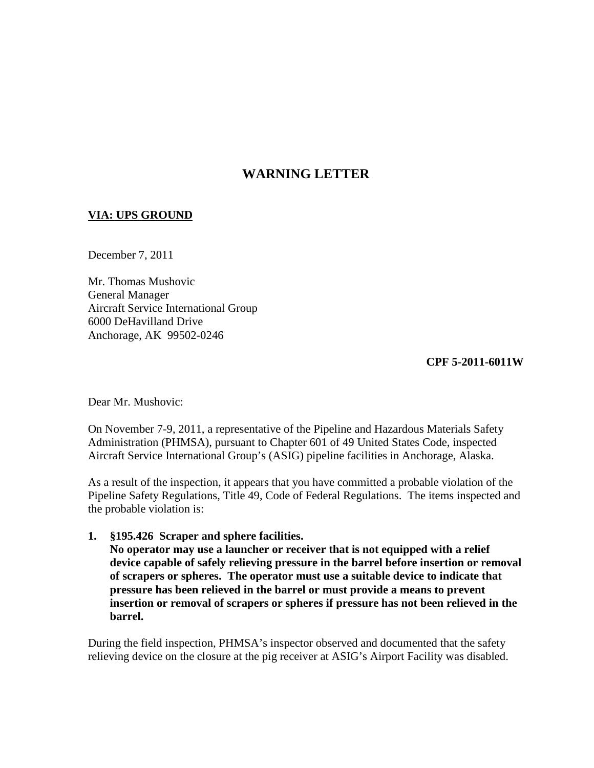## **WARNING LETTER**

## **VIA: UPS GROUND**

December 7, 2011

Mr. Thomas Mushovic General Manager Aircraft Service International Group 6000 DeHavilland Drive Anchorage, AK99502-0246

## **CPF 5-2011-6011W**

Dear Mr. Mushovic:

On November 7-9, 2011, a representative of the Pipeline and Hazardous Materials Safety Administration (PHMSA), pursuant to Chapter 601 of 49 United States Code, inspected Aircraft Service International Group's (ASIG) pipeline facilities in Anchorage, Alaska.

As a result of the inspection, it appears that you have committed a probable violation of the Pipeline Safety Regulations, Title 49, Code of Federal Regulations. The items inspected and the probable violation is:

## **1. §195.426 Scraper and sphere facilities.**

**No operator may use a launcher or receiver that is not equipped with a relief device capable of safely relieving pressure in the barrel before insertion or removal of scrapers or spheres. The operator must use a suitable device to indicate that pressure has been relieved in the barrel or must provide a means to prevent insertion or removal of scrapers or spheres if pressure has not been relieved in the barrel.**

During the field inspection, PHMSA's inspector observed and documented that the safety relieving device on the closure at the pig receiver at ASIG's Airport Facility was disabled.